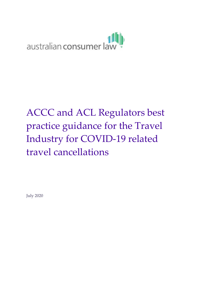

# ACCC and ACL Regulators best practice guidance for the Travel Industry for COVID-19 related travel cancellations

July 2020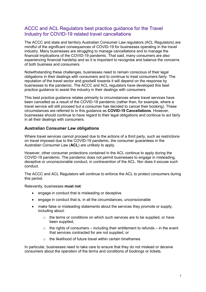# ACCC and ACL Regulators best practice guidance for the Travel Industry for COVID-19 related travel cancellations

The ACCC and state and territory Australian Consumer Law regulators (ACL Regulators) are mindful of the significant consequences of COVID-19 for businesses operating in the travel industry. Many businesses are struggling to manage cancellations and to manage the financial implications of the COVID-19 pandemic. That said, many consumers are also experiencing financial hardship and so it is important to recognise and balance the concerns of both business and consumers.

Notwithstanding these challenges, businesses need to remain conscious of their legal obligations in their dealings with consumers and to continue to treat consumers fairly. The reputation of the travel sector and goodwill towards it will depend on the response by businesses to the pandemic. The ACCC and ACL regulators have developed this best practice guidance to assist the industry in their dealings with consumers.

This best practice guidance relates primarily to circumstances where travel services have been cancelled as a result of the COVID-19 pandemic (rather than, for example, where a travel service will still proceed but a consumer has decided to cancel their booking). These circumstances are referred to in this guidance as **COVID-19 Cancellations**. However, businesses should continue to have regard to their legal obligations and continue to act fairly in all their dealings with consumers.

### **Australian Consumer Law obligations**

Where travel services cannot proceed due to the actions of a third party, such as restrictions on travel imposed due to the COVID-19 pandemic, the consumer guarantees in the Australian Consumer Law (**ACL**) are unlikely to apply.

However, other consumer protections contained in the ACL continue to apply during the COVID-19 pandemic. The pandemic does not permit businesses to engage in misleading, deceptive or unconscionable conduct, in contravention of the ACL. Nor does it excuse such conduct.

The ACCC and ACL Regulators will continue to enforce the ACL to protect consumers during this period.

Relevantly, businesses **must not**:

- engage in conduct that is misleading or deceptive
- engage in conduct that is, in all the circumstances, unconscionable
- make false or misleading statements about the services they promote or supply, including about:
	- o the terms or conditions on which such services are to be supplied, or have been supplied,
	- $\circ$  the rights of consumers including their entitlement to refunds in the event that services contracted for are not supplied, or
	- $\circ$  the likelihood of future travel within certain timeframes.

In particular, businesses need to take care to ensure that they do not mislead or deceive consumers about the operation of the terms and conditions of bookings or tickets.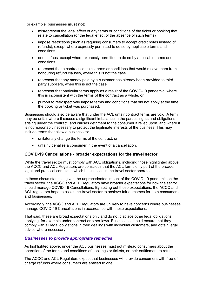For example, businesses **must not**:

- misrepresent the legal effect of any terms or conditions of the ticket or booking that relate to cancellation (or the legal effect of the absence of such terms)
- impose restrictions (such as requiring consumers to accept credit notes instead of refunds), except where expressly permitted to do so by applicable terms and conditions
- deduct fees, except where expressly permitted to do so by applicable terms and conditions
- represent that a contract contains terms or conditions that would relieve them from honouring refund clauses, where this is not the case
- represent that any money paid by a customer has already been provided to third party suppliers, when this is not the case
- represent that particular terms apply as a result of the COVID-19 pandemic, where this is inconsistent with the terms of the contract as a whole, or
- purport to retrospectively impose terms and conditions that did not apply at the time the booking or ticket was purchased.

Businesses should also be aware that under the ACL unfair contract terms are void. A term may be unfair where it causes a significant imbalance in the parties' rights and obligations arising under the contract, and causes detriment to the consumer if relied upon, and where it is not reasonably necessary to protect the legitimate interests of the business. This may include terms that allow a business to:

- unilaterally change the terms of the contract, or
- unfairly penalise a consumer in the event of a cancellation.

#### **COVID-19 Cancellations - broader expectations for the travel sector**

While the travel sector must comply with ACL obligations, including those highlighted above, the ACCC and ACL Regulators are conscious that the ACL forms only part of the broader legal and practical context in which businesses in the travel sector operate.

In these circumstances, given the unprecedented impact of the COVID-19 pandemic on the travel sector, the ACCC and ACL Regulators have broader expectations for how the sector should manage COVID-19 Cancellations. By setting out these expectations, the ACCC and ACL regulators hope to assist the travel sector to achieve fair outcomes for both consumers and businesses.

Accordingly, the ACCC and ACL Regulators are unlikely to have concerns where businesses manage COVID-19 Cancellations in accordance with these expectations.

That said, these are broad expectations only and do not displace other legal obligations applying, for example under contract or other laws. Businesses should ensure that they comply with all legal obligations in their dealings with individual customers, and obtain legal advice where necessary.

### *Businesses to provide appropriate remedies*

As highlighted above, under the ACL businesses must not mislead consumers about the operation of the terms and conditions of bookings or tickets, or their entitlement to refunds.

The ACCC and ACL Regulators expect that businesses will provide consumers with free-ofcharge refunds where consumers are entitled to one.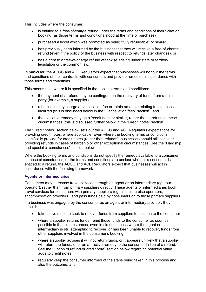This includes where the consumer:

- is entitled to a free-of-charge refund under the terms and conditions of their ticket or booking (as those terms and conditions stood at the time of purchase)
- purchased a ticket which was promoted as being "fully refundable" or similar
- has previously been informed by the business that they will receive a free-of-charge refund (even if the policy of the business with respect to refunds later changes), or
- has a right to a free-of-charge refund otherwise arising under state or territory legislation or the common law.

In particular, the ACCC and ACL Regulators expect that businesses will honour the terms and conditions of their contracts with consumers and provide remedies in accordance with those terms and conditions.

This means that, where it is specified in the booking terms and conditions:

- the payment of a refund may be contingent on the recovery of funds from a third party (for example, a supplier)
- a business may charge a cancellation fee or retain amounts relating to expenses incurred (this is discussed below in the "Cancellation fees" section), and
- the available remedy may be a 'credit note' or similar, rather than a refund in these circumstances (this is discussed further below in the "Credit notes" section).

The "Credit notes" section below sets out the ACCC and ACL Regulators expectations for providing credit notes, where applicable. Even where the booking terms or conditions specifically provide for credit notes (rather than refunds), businesses should still consider providing refunds in cases of hardship or other exceptional circumstances. See the "Hardship and special circumstances" section below.

Where the booking terms and conditions do not specify the remedy available to a consumer in these circumstances, or the terms and conditions are unclear whether a consumer is entitled to a refund, the ACCC and ACL Regulators expect that businesses will act in accordance with the following framework.

### **Agents or Intermediaries**

Consumers may purchase travel services through an agent or an intermediary (eg. tour operator), rather than from primary suppliers directly. These agents or intermediaries book travel services for consumers with primary suppliers (eg. airlines, cruise operators, accommodation providers), and pass funds paid by consumers on to those primary suppliers.

If a business was engaged by the consumer as an agent or intermediary provider, they should:

- take active steps to seek to recover funds from suppliers to pass on to the consumer
- where a supplier returns funds, remit those funds to the consumer as soon as possible in the circumstances, even in circumstances where the agent or intermediary is still attempting to recover, or has been unable to recover, funds from other suppliers involved in the consumer's booking
- where a supplier advises it will not return funds, or it appears unlikely that a supplier will return the funds, offer an attractive remedy to the consumer in lieu of a refund. See the "Option of refund or credit note" section below regarding potential value adds to credit notes
- regularly keep the consumer informed of the steps being taken in this process and also the outcome, and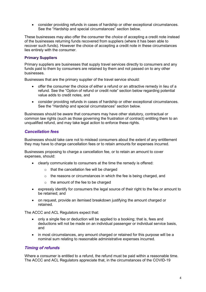• consider providing refunds in cases of hardship or other exceptional circumstances. See the "Hardship and special circumstances" section below.

These businesses may also offer the consumer the *choice* of accepting a credit note instead of the businesses returning funds recovered from suppliers (where it has been able to recover such funds). However the choice of accepting a credit note in these circumstances lies entirely with the consumer.

#### **Primary Suppliers**

Primary suppliers are businesses that supply travel services directly to consumers and any funds paid to them by consumers are retained by them and not passed on to any other businesses.

Businesses that are the primary supplier of the travel service should:

- offer the consumer the choice of either a refund or an attractive remedy in lieu of a refund. See the "Option of refund or credit note" section below regarding potential value adds to credit notes, and
- consider providing refunds in cases of hardship or other exceptional circumstances. See the "Hardship and special circumstances" section below.

Businesses should be aware that consumers may have other statutory, contractual or common law rights (such as those governing the frustration of contract) entitling them to an unqualified refund, and may take legal action to enforce these rights.

### *Cancellation fees*

Businesses should take care not to mislead consumers about the extent of any entitlement they may have to charge cancellation fees or to retain amounts for expenses incurred.

Businesses proposing to charge a cancellation fee, or to retain an amount to cover expenses, should:

- clearly communicate to consumers at the time the remedy is offered:
	- o that the cancellation fee will be charged
	- o the reasons or circumstances in which the fee is being charged, and
	- $\circ$  the amount of the fee to be charged
- expressly identify for consumers the legal source of their right to the fee or amount to be retained; and
- on request, provide an itemised breakdown justifying the amount charged or retained.

The ACCC and ACL Regulators expect that:

- only a single fee or deduction will be applied to a booking; that is, fees and deductions will not be made on an individual passenger or individual service basis, and
- in most circumstances, any amount charged or retained for this purpose will be a nominal sum relating to reasonable administrative expenses incurred.

### *Timing of refunds*

Where a consumer is entitled to a refund, the refund must be paid within a reasonable time. The ACCC and ACL Regulators appreciate that, in the circumstances of the COVID-19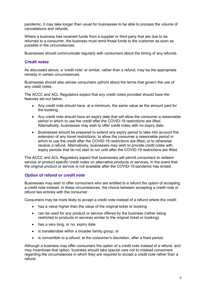pandemic, it may take longer than usual for businesses to be able to process the volume of cancellations and refunds.

Where a business has received funds from a supplier or third party that are due to be returned to a consumer, the business must remit those funds to the customer as soon as possible in the circumstances.

Businesses should communicate regularly with consumers about the timing of any refunds.

### *Credit notes*

As discussed above, a 'credit note' or similar, rather than a refund, may be the appropriate remedy in certain circumstances.

Businesses should also advise consumers upfront about the terms that govern the use of any credit notes.

The ACCC and ACL Regulators expect that any credit notes provided should have the features set out below.

- Any credit note should have, at a minimum, the same value as the amount paid for the booking.
- Any credit note should have an expiry date that will allow the consumer a reasonable period in which to use the credit after the COVID-19 restrictions are lifted. Alternatively, businesses may wish to offer credit notes with no expiry date.
- Businesses should be prepared to extend any expiry period to take into account the extension of any travel restrictions, to allow the consumer a reasonable period in which to use the credit after the COVID-19 restrictions are lifted, or to otherwise receive a refund. Alternatively, businesses may wish to provide credit notes with expiry periods that do not start to run until after the COVID-19 restrictions are lifted.

The ACCC and ACL Regulators expect that businesses will permit consumers to redeem service or product specific credit notes on alternative products or services, in the event that the original product or service is not available after the COVID-19 pandemic has ended.

### *Option of refund or credit note*

Businesses may wish to offer consumers who are entitled to a refund *the option* of accepting a credit note instead. In these circumstances, the choice between accepting a credit note or refund lies entirely with the consumer.

Consumers may be more likely to accept a credit note instead of a refund where the credit:

- has a value higher than the value of the original ticket or booking
- can be used for any product or service offered by the business (rather being restricted to products or services similar to the original ticket or booking)
- has a very long, or no, expiry date
- is transferrable within a broader family group, or
- is convertible to a refund, at the consumer's discretion, after a fixed period.

Although a business may offer consumers the option of a credit note instead of a refund, and may incentivise that option, business should take special care not to mislead consumers regarding the circumstances in which they are *required* to accept a credit note rather than a refund.